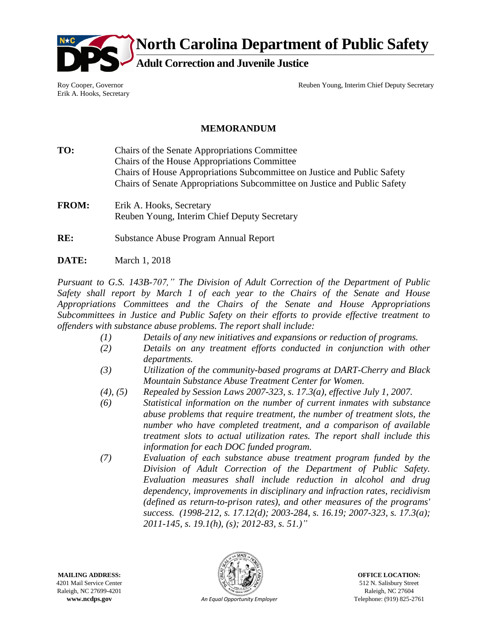

**North Carolina Department of Public Safety**

**Adult Correction and Juvenile Justice**

Roy Cooper, Governor Erik A. Hooks, Secretary Reuben Young, Interim Chief Deputy Secretary

## **MEMORANDUM**

- **TO:** Chairs of the Senate Appropriations Committee Chairs of the House Appropriations Committee Chairs of House Appropriations Subcommittee on Justice and Public Safety Chairs of Senate Appropriations Subcommittee on Justice and Public Safety
- **FROM:** Erik A. Hooks, Secretary Reuben Young, Interim Chief Deputy Secretary
- **RE:** Substance Abuse Program Annual Report
- **DATE:** March 1, 2018

*Pursuant to G.S. 143B-707," The Division of Adult Correction of the Department of Public Safety shall report by March 1 of each year to the Chairs of the Senate and House Appropriations Committees and the Chairs of the Senate and House Appropriations Subcommittees in Justice and Public Safety on their efforts to provide effective treatment to offenders with substance abuse problems. The report shall include:*

- *(1) Details of any new initiatives and expansions or reduction of programs.*
- *(2) Details on any treatment efforts conducted in conjunction with other departments.*
- *(3) Utilization of the community-based programs at DART-Cherry and Black Mountain Substance Abuse Treatment Center for Women.*
- *(4), (5) Repealed by Session Laws 2007-323, s. 17.3(a), effective July 1, 2007.*
- *(6) Statistical information on the number of current inmates with substance abuse problems that require treatment, the number of treatment slots, the number who have completed treatment, and a comparison of available treatment slots to actual utilization rates. The report shall include this information for each DOC funded program.*
- *(7) Evaluation of each substance abuse treatment program funded by the Division of Adult Correction of the Department of Public Safety. Evaluation measures shall include reduction in alcohol and drug dependency, improvements in disciplinary and infraction rates, recidivism (defined as return-to-prison rates), and other measures of the programs' success. (1998-212, s. 17.12(d); 2003-284, s. 16.19; 2007-323, s. 17.3(a); 2011-145, s. 19.1(h), (s); 2012-83, s. 51.)"*

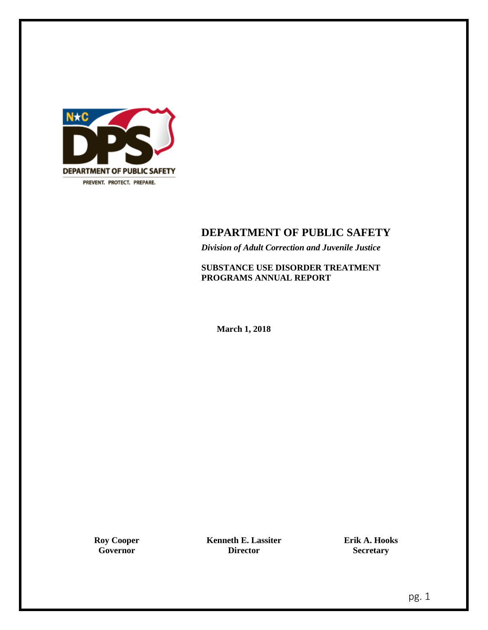

## **DEPARTMENT OF PUBLIC SAFETY**

*Division of Adult Correction and Juvenile Justice*

**SUBSTANCE USE DISORDER TREATMENT PROGRAMS ANNUAL REPORT**

**March 1, 2018**

**Roy Cooper Governor**

**Kenneth E. Lassiter Director**

**Erik A. Hooks Secretary**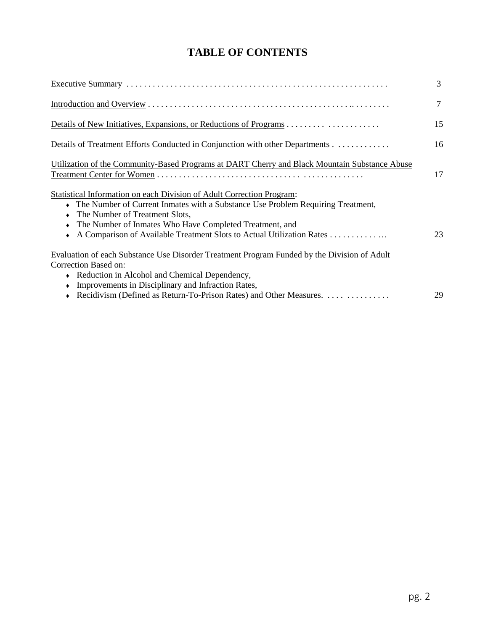# **TABLE OF CONTENTS**

|                                                                                                                                                                                                                                                       | 3  |
|-------------------------------------------------------------------------------------------------------------------------------------------------------------------------------------------------------------------------------------------------------|----|
|                                                                                                                                                                                                                                                       | 7  |
|                                                                                                                                                                                                                                                       | 15 |
| Details of Treatment Efforts Conducted in Conjunction with other Departments                                                                                                                                                                          | 16 |
| Utilization of the Community-Based Programs at DART Cherry and Black Mountain Substance Abuse                                                                                                                                                         | 17 |
| Statistical Information on each Division of Adult Correction Program:<br>The Number of Current Inmates with a Substance Use Problem Requiring Treatment,<br>The Number of Treatment Slots,<br>The Number of Inmates Who Have Completed Treatment, and | 23 |
| Evaluation of each Substance Use Disorder Treatment Program Funded by the Division of Adult<br>Correction Based on:<br>• Reduction in Alcohol and Chemical Dependency,                                                                                |    |
| Improvements in Disciplinary and Infraction Rates,<br>Recidivism (Defined as Return-To-Prison Rates) and Other Measures.                                                                                                                              | 29 |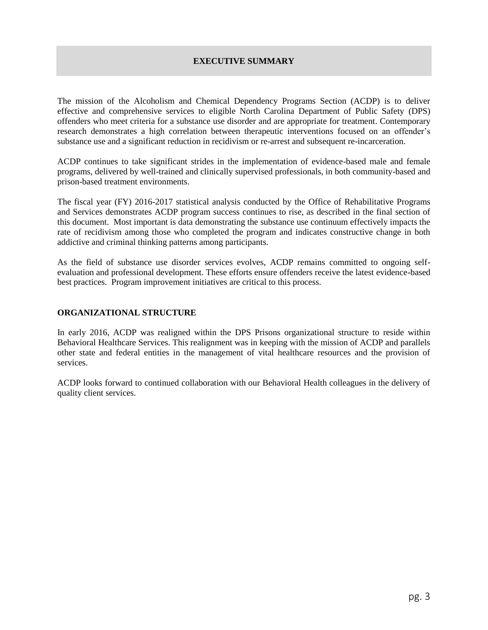## **EXECUTIVE SUMMARY**

<span id="page-3-0"></span>The mission of the Alcoholism and Chemical Dependency Programs Section (ACDP) is to deliver effective and comprehensive services to eligible North Carolina Department of Public Safety (DPS) offenders who meet criteria for a substance use disorder and are appropriate for treatment. Contemporary research demonstrates a high correlation between therapeutic interventions focused on an offender's substance use and a significant reduction in recidivism or re-arrest and subsequent re-incarceration.

ACDP continues to take significant strides in the implementation of evidence-based male and female programs, delivered by well-trained and clinically supervised professionals, in both community-based and prison-based treatment environments.

The fiscal year (FY) 2016-2017 statistical analysis conducted by the Office of Rehabilitative Programs and Services demonstrates ACDP program success continues to rise, as described in the final section of this document. Most important is data demonstrating the substance use continuum effectively impacts the rate of recidivism among those who completed the program and indicates constructive change in both addictive and criminal thinking patterns among participants.

As the field of substance use disorder services evolves, ACDP remains committed to ongoing selfevaluation and professional development. These efforts ensure offenders receive the latest evidence-based best practices. Program improvement initiatives are critical to this process.

## **ORGANIZATIONAL STRUCTURE**

In early 2016, ACDP was realigned within the DPS Prisons organizational structure to reside within Behavioral Healthcare Services. This realignment was in keeping with the mission of ACDP and parallels other state and federal entities in the management of vital healthcare resources and the provision of services.

ACDP looks forward to continued collaboration with our Behavioral Health colleagues in the delivery of quality client services.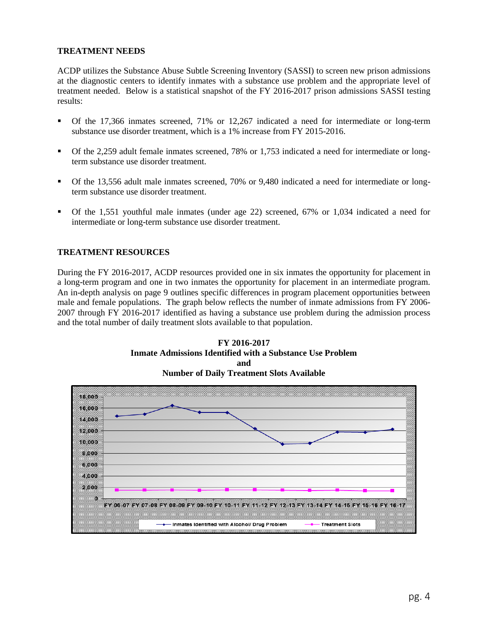## **TREATMENT NEEDS**

ACDP utilizes the Substance Abuse Subtle Screening Inventory (SASSI) to screen new prison admissions at the diagnostic centers to identify inmates with a substance use problem and the appropriate level of treatment needed. Below is a statistical snapshot of the FY 2016-2017 prison admissions SASSI testing results:

- Of the 17,366 inmates screened, 71% or 12,267 indicated a need for intermediate or long-term substance use disorder treatment, which is a 1% increase from FY 2015-2016.
- Of the 2,259 adult female inmates screened, 78% or 1,753 indicated a need for intermediate or longterm substance use disorder treatment.
- Of the 13,556 adult male inmates screened, 70% or 9,480 indicated a need for intermediate or longterm substance use disorder treatment.
- Of the 1,551 youthful male inmates (under age 22) screened, 67% or 1,034 indicated a need for intermediate or long-term substance use disorder treatment.

## **TREATMENT RESOURCES**

During the FY 2016-2017, ACDP resources provided one in six inmates the opportunity for placement in a long-term program and one in two inmates the opportunity for placement in an intermediate program. An in-depth analysis on page 9 outlines specific differences in program placement opportunities between male and female populations. The graph below reflects the number of inmate admissions from FY 2006- 2007 through FY 2016-2017 identified as having a substance use problem during the admission process and the total number of daily treatment slots available to that population.



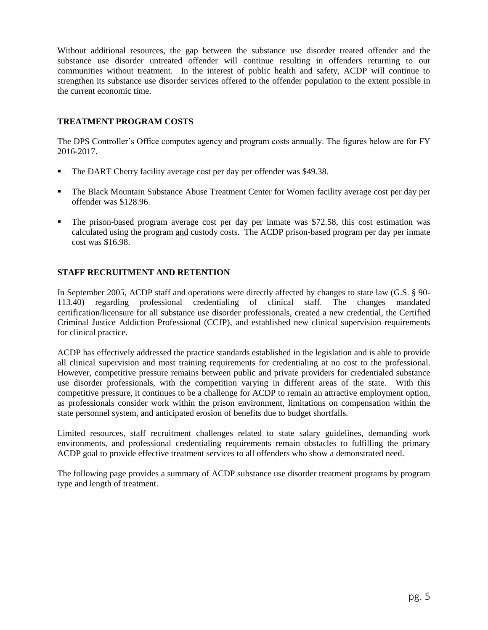Without additional resources, the gap between the substance use disorder treated offender and the substance use disorder untreated offender will continue resulting in offenders returning to our communities without treatment. In the interest of public health and safety, ACDP will continue to strengthen its substance use disorder services offered to the offender population to the extent possible in the current economic time.

## **TREATMENT PROGRAM COSTS**

The DPS Controller's Office computes agency and program costs annually. The figures below are for FY 2016-2017.

- The DART Cherry facility average cost per day per offender was \$49.38.
- The Black Mountain Substance Abuse Treatment Center for Women facility average cost per day per offender was \$128.96.
- The prison-based program average cost per day per inmate was \$72.58, this cost estimation was calculated using the program and custody costs. The ACDP prison-based program per day per inmate cost was \$16.98.

## **STAFF RECRUITMENT AND RETENTION**

In September 2005, ACDP staff and operations were directly affected by changes to state law (G.S. § 90- 113.40) regarding professional credentialing of clinical staff. The changes mandated certification/licensure for all substance use disorder professionals, created a new credential, the Certified Criminal Justice Addiction Professional (CCJP), and established new clinical supervision requirements for clinical practice.

ACDP has effectively addressed the practice standards established in the legislation and is able to provide all clinical supervision and most training requirements for credentialing at no cost to the professional. However, competitive pressure remains between public and private providers for credentialed substance use disorder professionals, with the competition varying in different areas of the state. With this competitive pressure, it continues to be a challenge for ACDP to remain an attractive employment option, as professionals consider work within the prison environment, limitations on compensation within the state personnel system, and anticipated erosion of benefits due to budget shortfalls.

Limited resources, staff recruitment challenges related to state salary guidelines, demanding work environments, and professional credentialing requirements remain obstacles to fulfilling the primary ACDP goal to provide effective treatment services to all offenders who show a demonstrated need.

The following page provides a summary of ACDP substance use disorder treatment programs by program type and length of treatment.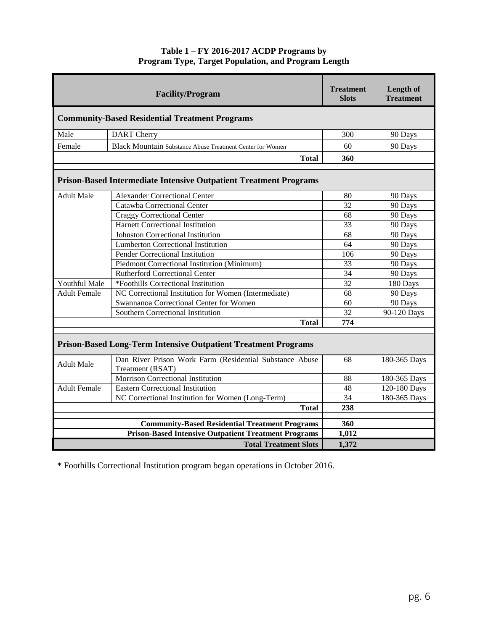## **Table 1 – FY 2016-2017 ACDP Programs by Program Type, Target Population, and Program Length**

|                     | <b>Facility/Program</b>                                                     | <b>Treatment</b><br><b>Slots</b> | Length of<br><b>Treatment</b> |
|---------------------|-----------------------------------------------------------------------------|----------------------------------|-------------------------------|
|                     | <b>Community-Based Residential Treatment Programs</b>                       |                                  |                               |
| Male                | <b>DART</b> Cherry                                                          | 300                              | 90 Days                       |
| Female              | Black Mountain Substance Abuse Treatment Center for Women                   | 60                               | 90 Days                       |
|                     | <b>Total</b>                                                                | 360                              |                               |
|                     | <b>Prison-Based Intermediate Intensive Outpatient Treatment Programs</b>    |                                  |                               |
| <b>Adult Male</b>   | <b>Alexander Correctional Center</b>                                        | 80                               | 90 Days                       |
|                     | Catawba Correctional Center                                                 | 32                               | 90 Days                       |
|                     | <b>Craggy Correctional Center</b>                                           | 68                               | 90 Days                       |
|                     | Harnett Correctional Institution                                            | 33                               | 90 Days                       |
|                     | <b>Johnston Correctional Institution</b>                                    | 68                               | 90 Days                       |
|                     | <b>Lumberton Correctional Institution</b>                                   | 64                               | 90 Days                       |
|                     | Pender Correctional Institution                                             | 106                              | 90 Days                       |
|                     | Piedmont Correctional Institution (Minimum)                                 | 33                               | 90 Days                       |
|                     | <b>Rutherford Correctional Center</b>                                       | 34                               | 90 Days                       |
| Youthful Male       | *Foothills Correctional Institution                                         | 32                               | 180 Days                      |
| <b>Adult Female</b> | NC Correctional Institution for Women (Intermediate)                        | 68                               | 90 Days                       |
|                     | Swannanoa Correctional Center for Women                                     | 60                               | 90 Days                       |
|                     | Southern Correctional Institution                                           | 32                               | 90-120 Days                   |
|                     | <b>Total</b>                                                                | 774                              |                               |
|                     | <b>Prison-Based Long-Term Intensive Outpatient Treatment Programs</b>       |                                  |                               |
| <b>Adult Male</b>   | Dan River Prison Work Farm (Residential Substance Abuse<br>Treatment (RSAT) | 68                               | 180-365 Days                  |
|                     | Morrison Correctional Institution                                           | 88                               | 180-365 Days                  |
| <b>Adult Female</b> | <b>Eastern Correctional Institution</b>                                     | 48                               | 120-180 Days                  |
|                     | NC Correctional Institution for Women (Long-Term)                           | 34                               | 180-365 Days                  |
|                     | <b>Total</b>                                                                | 238                              |                               |
|                     | <b>Community-Based Residential Treatment Programs</b>                       | 360                              |                               |
|                     | <b>Prison-Based Intensive Outpatient Treatment Programs</b>                 | 1,012                            |                               |
|                     | <b>Total Treatment Slots</b>                                                | 1,372                            |                               |
|                     |                                                                             |                                  |                               |

\* Foothills Correctional Institution program began operations in October 2016.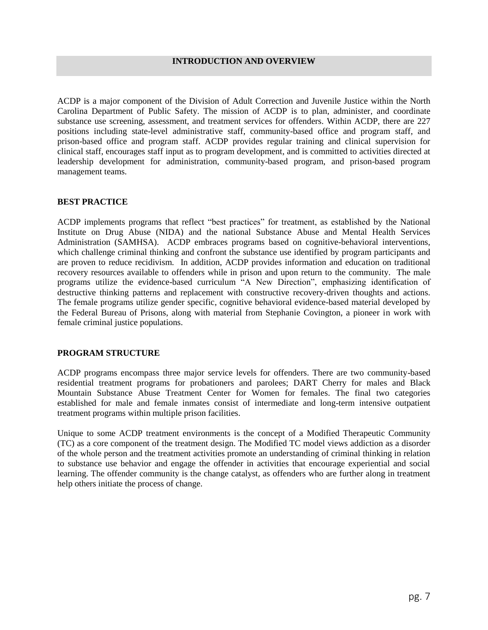<span id="page-7-0"></span>ACDP is a major component of the Division of Adult Correction and Juvenile Justice within the North Carolina Department of Public Safety. The mission of ACDP is to plan, administer, and coordinate substance use screening, assessment, and treatment services for offenders. Within ACDP, there are 227 positions including state-level administrative staff, community-based office and program staff, and prison-based office and program staff. ACDP provides regular training and clinical supervision for clinical staff, encourages staff input as to program development, and is committed to activities directed at leadership development for administration, community-based program, and prison-based program management teams.

#### **BEST PRACTICE**

ACDP implements programs that reflect "best practices" for treatment, as established by the National Institute on Drug Abuse (NIDA) and the national Substance Abuse and Mental Health Services Administration (SAMHSA). ACDP embraces programs based on cognitive-behavioral interventions, which challenge criminal thinking and confront the substance use identified by program participants and are proven to reduce recidivism. In addition, ACDP provides information and education on traditional recovery resources available to offenders while in prison and upon return to the community. The male programs utilize the evidence-based curriculum "A New Direction", emphasizing identification of destructive thinking patterns and replacement with constructive recovery-driven thoughts and actions. The female programs utilize gender specific, cognitive behavioral evidence-based material developed by the Federal Bureau of Prisons, along with material from Stephanie Covington, a pioneer in work with female criminal justice populations.

## **PROGRAM STRUCTURE**

ACDP programs encompass three major service levels for offenders. There are two community-based residential treatment programs for probationers and parolees; DART Cherry for males and Black Mountain Substance Abuse Treatment Center for Women for females. The final two categories established for male and female inmates consist of intermediate and long-term intensive outpatient treatment programs within multiple prison facilities.

Unique to some ACDP treatment environments is the concept of a Modified Therapeutic Community (TC) as a core component of the treatment design. The Modified TC model views addiction as a disorder of the whole person and the treatment activities promote an understanding of criminal thinking in relation to substance use behavior and engage the offender in activities that encourage experiential and social learning. The offender community is the change catalyst, as offenders who are further along in treatment help others initiate the process of change.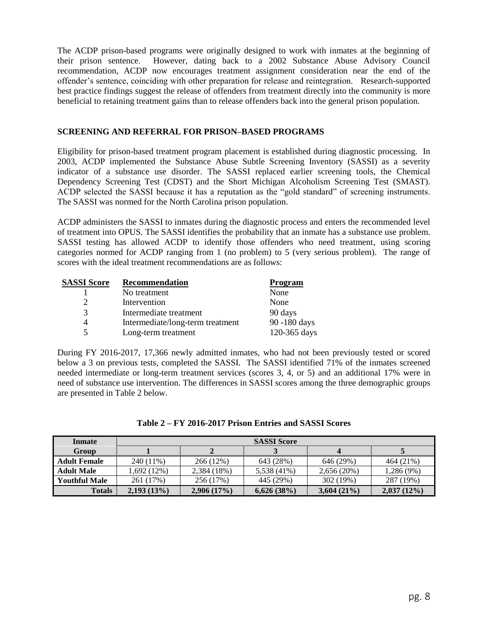The ACDP prison-based programs were originally designed to work with inmates at the beginning of their prison sentence. However, dating back to a 2002 Substance Abuse Advisory Council recommendation, ACDP now encourages treatment assignment consideration near the end of the offender's sentence, coinciding with other preparation for release and reintegration. Research-supported best practice findings suggest the release of offenders from treatment directly into the community is more beneficial to retaining treatment gains than to release offenders back into the general prison population.

## **SCREENING AND REFERRAL FOR PRISON–BASED PROGRAMS**

Eligibility for prison-based treatment program placement is established during diagnostic processing. In 2003, ACDP implemented the Substance Abuse Subtle Screening Inventory (SASSI) as a severity indicator of a substance use disorder. The SASSI replaced earlier screening tools, the Chemical Dependency Screening Test (CDST) and the Short Michigan Alcoholism Screening Test (SMAST). ACDP selected the SASSI because it has a reputation as the "gold standard" of screening instruments. The SASSI was normed for the North Carolina prison population.

ACDP administers the SASSI to inmates during the diagnostic process and enters the recommended level of treatment into OPUS. The SASSI identifies the probability that an inmate has a substance use problem. SASSI testing has allowed ACDP to identify those offenders who need treatment, using scoring categories normed for ACDP ranging from 1 (no problem) to 5 (very serious problem). The range of scores with the ideal treatment recommendations are as follows:

| <b>SASSI Score</b> | <b>Recommendation</b>            | <b>Program</b> |
|--------------------|----------------------------------|----------------|
|                    | No treatment                     | None           |
| $\overline{2}$     | Intervention                     | None           |
| 3                  | Intermediate treatment           | 90 days        |
| 4                  | Intermediate/long-term treatment | 90 -180 days   |
| 5                  | Long-term treatment              | 120-365 days   |

During FY 2016-2017, 17,366 newly admitted inmates, who had not been previously tested or scored below a 3 on previous tests, completed the SASSI. The SASSI identified 71% of the inmates screened needed intermediate or long-term treatment services (scores 3, 4, or 5) and an additional 17% were in need of substance use intervention. The differences in SASSI scores among the three demographic groups are presented in Table 2 below.

| Inmate               | <b>SASSI Score</b> |             |             |               |            |  |
|----------------------|--------------------|-------------|-------------|---------------|------------|--|
| <b>Group</b>         |                    |             |             |               |            |  |
| <b>Adult Female</b>  | 240 (11%)          | 266 (12%)   | 643 (28%)   | 646 (29%)     | 464 (21%)  |  |
| <b>Adult Male</b>    | 1,692 (12%)        | 2,384 (18%) | 5,538 (41%) | 2,656(20%)    | 1,286 (9%) |  |
| <b>Youthful Male</b> | 261 (17%)          | 256 (17%)   | 445 (29%)   | 302 (19%)     | 287 (19%)  |  |
| <b>Totals</b>        | 2,193(13%)         | 2,906(17%)  | 6,626(38%)  | $3,604(21\%)$ | 2,037(12%) |  |

| Table 2 – FY 2016-2017 Prison Entries and SASSI Scores |  |  |  |  |  |  |  |
|--------------------------------------------------------|--|--|--|--|--|--|--|
|--------------------------------------------------------|--|--|--|--|--|--|--|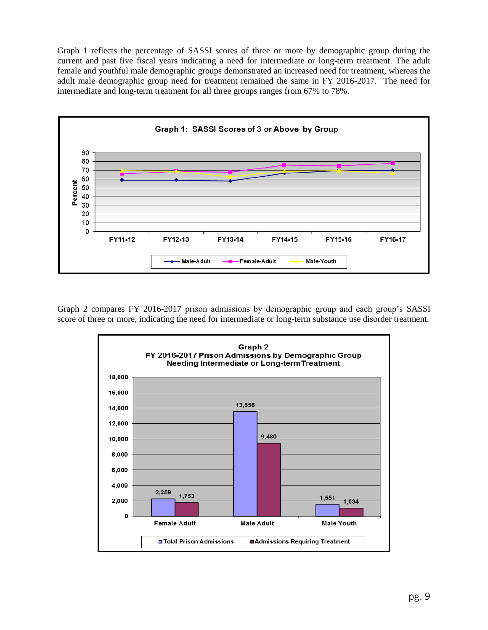Graph 1 reflects the percentage of SASSI scores of three or more by demographic group during the current and past five fiscal years indicating a need for intermediate or long-term treatment. The adult female and youthful male demographic groups demonstrated an increased need for treatment, whereas the adult male demographic group need for treatment remained the same in FY 2016-2017. The need for intermediate and long-term treatment for all three groups ranges from 67% to 78%.



Graph 2 compares FY 2016-2017 prison admissions by demographic group and each group's SASSI score of three or more, indicating the need for intermediate or long-term substance use disorder treatment.

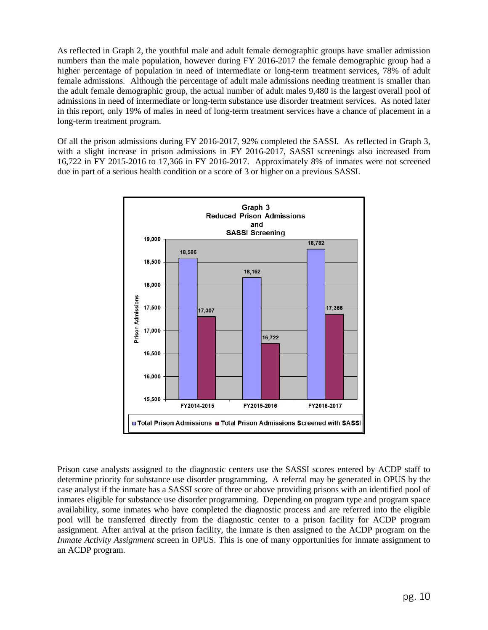As reflected in Graph 2, the youthful male and adult female demographic groups have smaller admission numbers than the male population, however during FY 2016-2017 the female demographic group had a higher percentage of population in need of intermediate or long-term treatment services, 78% of adult female admissions. Although the percentage of adult male admissions needing treatment is smaller than the adult female demographic group, the actual number of adult males 9,480 is the largest overall pool of admissions in need of intermediate or long-term substance use disorder treatment services. As noted later in this report, only 19% of males in need of long-term treatment services have a chance of placement in a long-term treatment program.

Of all the prison admissions during FY 2016-2017, 92% completed the SASSI. As reflected in Graph 3, with a slight increase in prison admissions in FY 2016-2017, SASSI screenings also increased from 16,722 in FY 2015-2016 to 17,366 in FY 2016-2017. Approximately 8% of inmates were not screened due in part of a serious health condition or a score of 3 or higher on a previous SASSI.



Prison case analysts assigned to the diagnostic centers use the SASSI scores entered by ACDP staff to determine priority for substance use disorder programming. A referral may be generated in OPUS by the case analyst if the inmate has a SASSI score of three or above providing prisons with an identified pool of inmates eligible for substance use disorder programming. Depending on program type and program space availability, some inmates who have completed the diagnostic process and are referred into the eligible pool will be transferred directly from the diagnostic center to a prison facility for ACDP program assignment. After arrival at the prison facility, the inmate is then assigned to the ACDP program on the *Inmate Activity Assignment* screen in OPUS. This is one of many opportunities for inmate assignment to an ACDP program.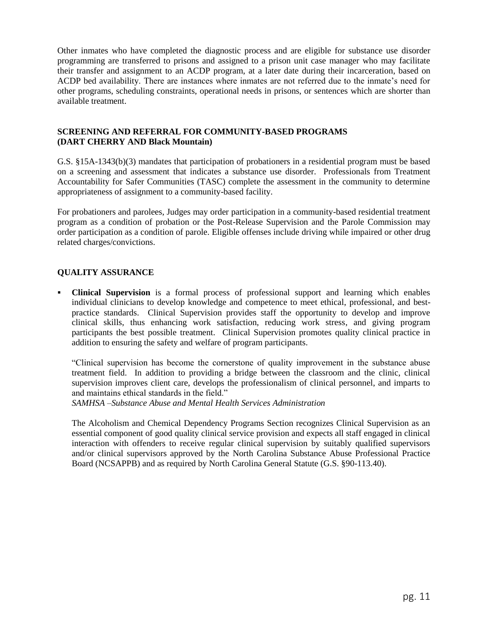Other inmates who have completed the diagnostic process and are eligible for substance use disorder programming are transferred to prisons and assigned to a prison unit case manager who may facilitate their transfer and assignment to an ACDP program, at a later date during their incarceration, based on ACDP bed availability. There are instances where inmates are not referred due to the inmate's need for other programs, scheduling constraints, operational needs in prisons, or sentences which are shorter than available treatment.

## **SCREENING AND REFERRAL FOR COMMUNITY-BASED PROGRAMS (DART CHERRY AND Black Mountain)**

G.S. §15A-1343(b)(3) mandates that participation of probationers in a residential program must be based on a screening and assessment that indicates a substance use disorder. Professionals from Treatment Accountability for Safer Communities (TASC) complete the assessment in the community to determine appropriateness of assignment to a community-based facility.

For probationers and parolees, Judges may order participation in a community-based residential treatment program as a condition of probation or the Post-Release Supervision and the Parole Commission may order participation as a condition of parole. Eligible offenses include driving while impaired or other drug related charges/convictions.

## **QUALITY ASSURANCE**

 **Clinical Supervision** is a formal process of professional support and learning which enables individual clinicians to develop knowledge and competence to meet ethical, professional, and bestpractice standards. Clinical Supervision provides staff the opportunity to develop and improve clinical skills, thus enhancing work satisfaction, reducing work stress, and giving program participants the best possible treatment. Clinical Supervision promotes quality clinical practice in addition to ensuring the safety and welfare of program participants.

"Clinical supervision has become the cornerstone of quality improvement in the substance abuse treatment field. In addition to providing a bridge between the classroom and the clinic, clinical supervision improves client care, develops the professionalism of clinical personnel, and imparts to and maintains ethical standards in the field."

*SAMHSA –Substance Abuse and Mental Health Services Administration*

The Alcoholism and Chemical Dependency Programs Section recognizes Clinical Supervision as an essential component of good quality clinical service provision and expects all staff engaged in clinical interaction with offenders to receive regular clinical supervision by suitably qualified supervisors and/or clinical supervisors approved by the [North Carolina Substance Abuse Professional Practice](http://www.ncsapcb.org/)  [Board](http://www.ncsapcb.org/) (NCSAPPB) and as required by North Carolina General Statute (G.S. §90-113.40).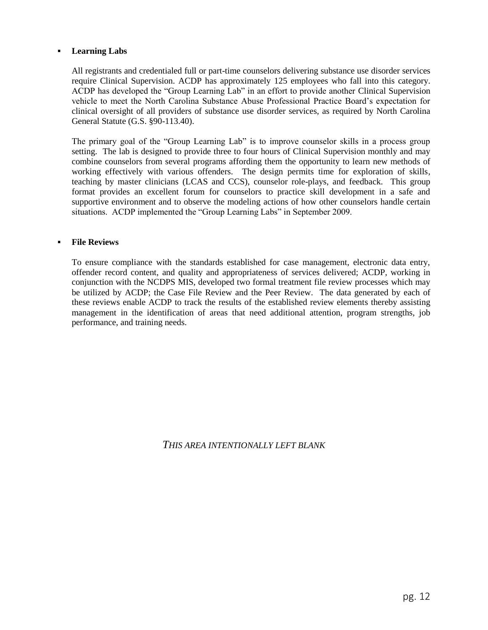## **Learning Labs**

All registrants and credentialed full or part-time counselors delivering substance use disorder services require Clinical Supervision. ACDP has approximately 125 employees who fall into this category. ACDP has developed the "Group Learning Lab" in an effort to provide another Clinical Supervision vehicle to meet the North Carolina Substance Abuse Professional Practice Board's expectation for clinical oversight of all providers of substance use disorder services, as required by North Carolina General Statute (G.S. §90-113.40).

The primary goal of the "Group Learning Lab" is to improve counselor skills in a process group setting. The lab is designed to provide three to four hours of Clinical Supervision monthly and may combine counselors from several programs affording them the opportunity to learn new methods of working effectively with various offenders. The design permits time for exploration of skills, teaching by master clinicians (LCAS and CCS), counselor role-plays, and feedback. This group format provides an excellent forum for counselors to practice skill development in a safe and supportive environment and to observe the modeling actions of how other counselors handle certain situations. ACDP implemented the "Group Learning Labs" in September 2009.

## **File Reviews**

To ensure compliance with the standards established for case management, electronic data entry, offender record content, and quality and appropriateness of services delivered; ACDP, working in conjunction with the NCDPS MIS, developed two formal treatment file review processes which may be utilized by ACDP; the Case File Review and the Peer Review. The data generated by each of these reviews enable ACDP to track the results of the established review elements thereby assisting management in the identification of areas that need additional attention, program strengths, job performance, and training needs.

*THIS AREA INTENTIONALLY LEFT BLANK*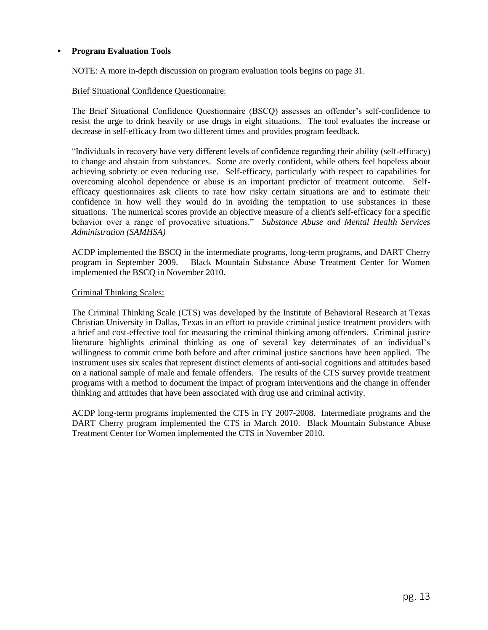## **Program Evaluation Tools**

NOTE: A more in-depth discussion on program evaluation tools begins on page 31.

#### Brief Situational Confidence Questionnaire:

The Brief Situational Confidence Questionnaire (BSCQ) assesses an offender's self-confidence to resist the urge to drink heavily or use drugs in eight situations. The tool evaluates the increase or decrease in self-efficacy from two different times and provides program feedback.

"Individuals in recovery have very different levels of confidence regarding their ability (self-efficacy) to change and abstain from substances. Some are overly confident, while others feel hopeless about achieving sobriety or even reducing use. Self-efficacy, particularly with respect to capabilities for overcoming alcohol dependence or abuse is an important predictor of treatment outcome. Selfefficacy questionnaires ask clients to rate how risky certain situations are and to estimate their confidence in how well they would do in avoiding the temptation to use substances in these situations. The numerical scores provide an objective measure of a client's self-efficacy for a specific behavior over a range of provocative situations." *Substance Abuse and Mental Health Services Administration (SAMHSA)*

ACDP implemented the BSCQ in the intermediate programs, long-term programs, and DART Cherry program in September 2009. Black Mountain Substance Abuse Treatment Center for Women Black Mountain Substance Abuse Treatment Center for Women implemented the BSCQ in November 2010.

#### Criminal Thinking Scales:

The Criminal Thinking Scale (CTS) was developed by the Institute of Behavioral Research at Texas Christian University in Dallas, Texas in an effort to provide criminal justice treatment providers with a brief and cost-effective tool for measuring the criminal thinking among offenders. Criminal justice literature highlights criminal thinking as one of several key determinates of an individual's willingness to commit crime both before and after criminal justice sanctions have been applied. The instrument uses six scales that represent distinct elements of anti-social cognitions and attitudes based on a national sample of male and female offenders. The results of the CTS survey provide treatment programs with a method to document the impact of program interventions and the change in offender thinking and attitudes that have been associated with drug use and criminal activity.

ACDP long-term programs implemented the CTS in FY 2007-2008. Intermediate programs and the DART Cherry program implemented the CTS in March 2010. Black Mountain Substance Abuse Treatment Center for Women implemented the CTS in November 2010.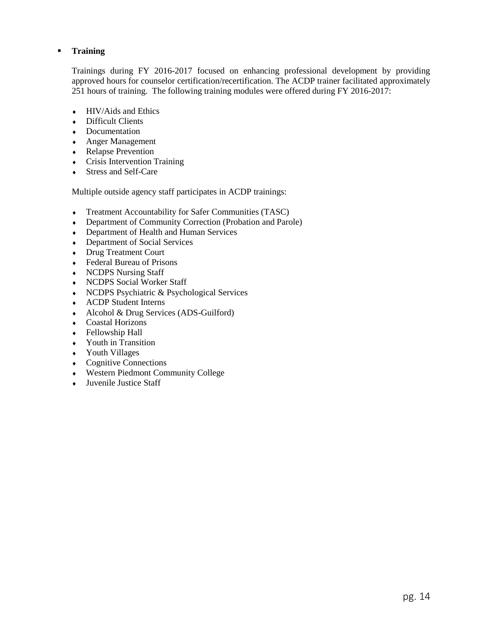## **Training**

Trainings during FY 2016-2017 focused on enhancing professional development by providing approved hours for counselor certification/recertification. The ACDP trainer facilitated approximately 251 hours of training. The following training modules were offered during FY 2016-2017:

- $\leftarrow$  HIV/Aids and Ethics
- Difficult Clients
- Documentation
- Anger Management
- Relapse Prevention
- Crisis Intervention Training
- Stress and Self-Care

Multiple outside agency staff participates in ACDP trainings:

- Treatment Accountability for Safer Communities (TASC)
- Department of Community Correction (Probation and Parole)
- Department of Health and Human Services
- Department of Social Services
- Drug Treatment Court
- Federal Bureau of Prisons
- NCDPS Nursing Staff
- NCDPS Social Worker Staff
- NCDPS Psychiatric & Psychological Services
- ACDP Student Interns
- Alcohol & Drug Services (ADS-Guilford)
- Coastal Horizons
- Fellowship Hall
- Youth in Transition
- Youth Villages
- Cognitive Connections
- Western Piedmont Community College
- Juvenile Justice Staff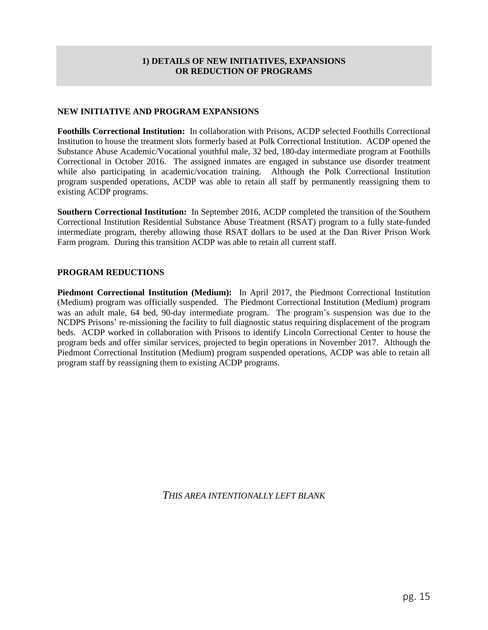## **1) DETAILS OF NEW INITIATIVES, EXPANSIONS OR REDUCTION OF PROGRAMS**

## <span id="page-15-0"></span>**NEW INITIATIVE AND PROGRAM EXPANSIONS**

**Foothills Correctional Institution:** In collaboration with Prisons, ACDP selected Foothills Correctional Institution to house the treatment slots formerly based at Polk Correctional Institution. ACDP opened the Substance Abuse Academic/Vocational youthful male, 32 bed, 180-day intermediate program at Foothills Correctional in October 2016. The assigned inmates are engaged in substance use disorder treatment while also participating in academic/vocation training. Although the Polk Correctional Institution program suspended operations, ACDP was able to retain all staff by permanently reassigning them to existing ACDP programs.

**Southern Correctional Institution:** In September 2016, ACDP completed the transition of the Southern Correctional Institution Residential Substance Abuse Treatment (RSAT) program to a fully state-funded intermediate program, thereby allowing those RSAT dollars to be used at the Dan River Prison Work Farm program. During this transition ACDP was able to retain all current staff.

## **PROGRAM REDUCTIONS**

**Piedmont Correctional Institution (Medium):** In April 2017, the Piedmont Correctional Institution (Medium) program was officially suspended. The Piedmont Correctional Institution (Medium) program was an adult male, 64 bed, 90-day intermediate program. The program's suspension was due to the NCDPS Prisons' re-missioning the facility to full diagnostic status requiring displacement of the program beds. ACDP worked in collaboration with Prisons to identify Lincoln Correctional Center to house the program beds and offer similar services, projected to begin operations in November 2017. Although the Piedmont Correctional Institution (Medium) program suspended operations, ACDP was able to retain all program staff by reassigning them to existing ACDP programs.

*THIS AREA INTENTIONALLY LEFT BLANK*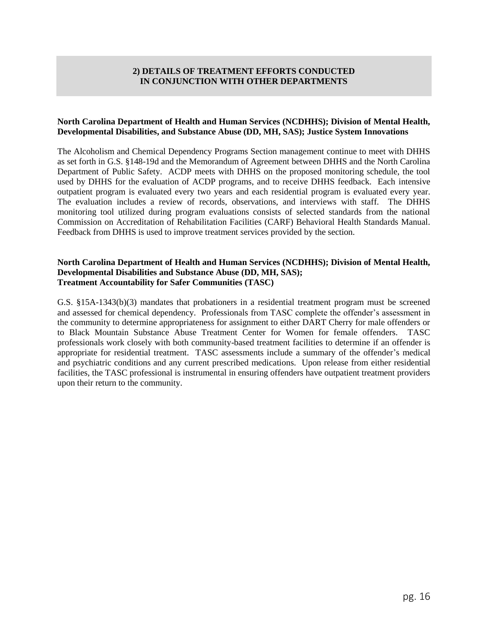## **2) DETAILS OF TREATMENT EFFORTS CONDUCTED IN CONJUNCTION WITH OTHER DEPARTMENTS**

#### <span id="page-16-0"></span>**North Carolina Department of Health and Human Services (NCDHHS); Division of Mental Health, Developmental Disabilities, and Substance Abuse (DD, MH, SAS); Justice System Innovations**

The Alcoholism and Chemical Dependency Programs Section management continue to meet with DHHS as set forth in G.S. §148-19d and the Memorandum of Agreement between DHHS and the North Carolina Department of Public Safety. ACDP meets with DHHS on the proposed monitoring schedule, the tool used by DHHS for the evaluation of ACDP programs, and to receive DHHS feedback. Each intensive outpatient program is evaluated every two years and each residential program is evaluated every year. The evaluation includes a review of records, observations, and interviews with staff. The DHHS monitoring tool utilized during program evaluations consists of selected standards from the national Commission on Accreditation of Rehabilitation Facilities (CARF) Behavioral Health Standards Manual. Feedback from DHHS is used to improve treatment services provided by the section.

#### **North Carolina Department of Health and Human Services (NCDHHS); Division of Mental Health, Developmental Disabilities and Substance Abuse (DD, MH, SAS); Treatment Accountability for Safer Communities (TASC)**

G.S. §15A-1343(b)(3) mandates that probationers in a residential treatment program must be screened and assessed for chemical dependency. Professionals from TASC complete the offender's assessment in the community to determine appropriateness for assignment to either DART Cherry for male offenders or to Black Mountain Substance Abuse Treatment Center for Women for female offenders. TASC professionals work closely with both community-based treatment facilities to determine if an offender is appropriate for residential treatment. TASC assessments include a summary of the offender's medical and psychiatric conditions and any current prescribed medications. Upon release from either residential facilities, the TASC professional is instrumental in ensuring offenders have outpatient treatment providers upon their return to the community.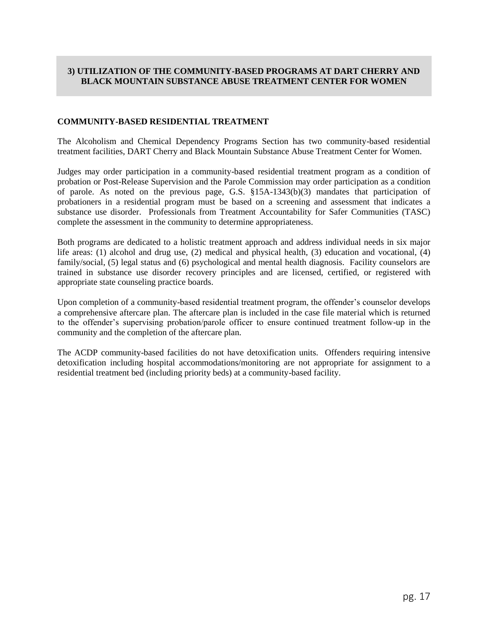## <span id="page-17-0"></span>**3) UTILIZATION OF THE COMMUNITY-BASED PROGRAMS AT DART CHERRY AND BLACK MOUNTAIN SUBSTANCE ABUSE TREATMENT CENTER FOR WOMEN**

## **COMMUNITY-BASED RESIDENTIAL TREATMENT**

The Alcoholism and Chemical Dependency Programs Section has two community-based residential treatment facilities, DART Cherry and Black Mountain Substance Abuse Treatment Center for Women.

Judges may order participation in a community-based residential treatment program as a condition of probation or Post-Release Supervision and the Parole Commission may order participation as a condition of parole. As noted on the previous page, G.S. §15A-1343(b)(3) mandates that participation of probationers in a residential program must be based on a screening and assessment that indicates a substance use disorder. Professionals from Treatment Accountability for Safer Communities (TASC) complete the assessment in the community to determine appropriateness.

Both programs are dedicated to a holistic treatment approach and address individual needs in six major life areas: (1) alcohol and drug use, (2) medical and physical health, (3) education and vocational, (4) family/social, (5) legal status and (6) psychological and mental health diagnosis. Facility counselors are trained in substance use disorder recovery principles and are licensed, certified, or registered with appropriate state counseling practice boards.

Upon completion of a community-based residential treatment program, the offender's counselor develops a comprehensive aftercare plan. The aftercare plan is included in the case file material which is returned to the offender's supervising probation/parole officer to ensure continued treatment follow-up in the community and the completion of the aftercare plan.

The ACDP community-based facilities do not have detoxification units. Offenders requiring intensive detoxification including hospital accommodations/monitoring are not appropriate for assignment to a residential treatment bed (including priority beds) at a community-based facility.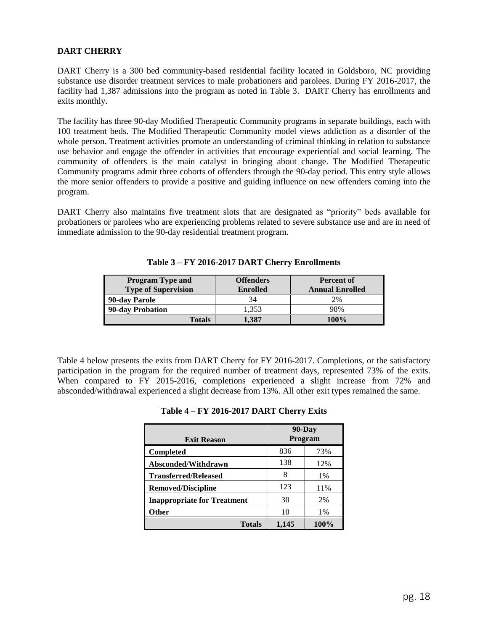## **DART CHERRY**

DART Cherry is a 300 bed community-based residential facility located in Goldsboro, NC providing substance use disorder treatment services to male probationers and parolees. During FY 2016-2017, the facility had 1,387 admissions into the program as noted in Table 3. DART Cherry has enrollments and exits monthly.

The facility has three 90-day Modified Therapeutic Community programs in separate buildings, each with 100 treatment beds. The Modified Therapeutic Community model views addiction as a disorder of the whole person. Treatment activities promote an understanding of criminal thinking in relation to substance use behavior and engage the offender in activities that encourage experiential and social learning. The community of offenders is the main catalyst in bringing about change. The Modified Therapeutic Community programs admit three cohorts of offenders through the 90-day period. This entry style allows the more senior offenders to provide a positive and guiding influence on new offenders coming into the program.

DART Cherry also maintains five treatment slots that are designated as "priority" beds available for probationers or parolees who are experiencing problems related to severe substance use and are in need of immediate admission to the 90-day residential treatment program.

| <b>Program Type and</b>    | <b>Offenders</b> | <b>Percent of</b>      |
|----------------------------|------------------|------------------------|
| <b>Type of Supervision</b> | <b>Enrolled</b>  | <b>Annual Enrolled</b> |
| 90-day Parole              | 34               | 2%                     |
| 90-day Probation           | 1.353            | 98%                    |
| <b>Totals</b>              | 1.387            | 100%                   |

**Table 3 – FY 2016-2017 DART Cherry Enrollments**

Table 4 below presents the exits from DART Cherry for FY 2016-2017. Completions, or the satisfactory participation in the program for the required number of treatment days, represented 73% of the exits. When compared to FY 2015-2016, completions experienced a slight increase from 72% and absconded/withdrawal experienced a slight decrease from 13%. All other exit types remained the same.

| <b>Exit Reason</b>                 | $90$ -Day<br>Program |       |
|------------------------------------|----------------------|-------|
| <b>Completed</b>                   | 836                  | 73%   |
| Absconded/Withdrawn                | 138                  | 12%   |
| <b>Transferred/Released</b>        | 8                    | $1\%$ |
| <b>Removed/Discipline</b>          | 123                  | 11%   |
| <b>Inappropriate for Treatment</b> | 30                   | 2%    |
| Other                              | 10                   | $1\%$ |
| <b>Totals</b>                      | 1.145                | 100%  |

| Table 4 - FY 2016-2017 DART Cherry Exits |  |  |  |  |
|------------------------------------------|--|--|--|--|
|------------------------------------------|--|--|--|--|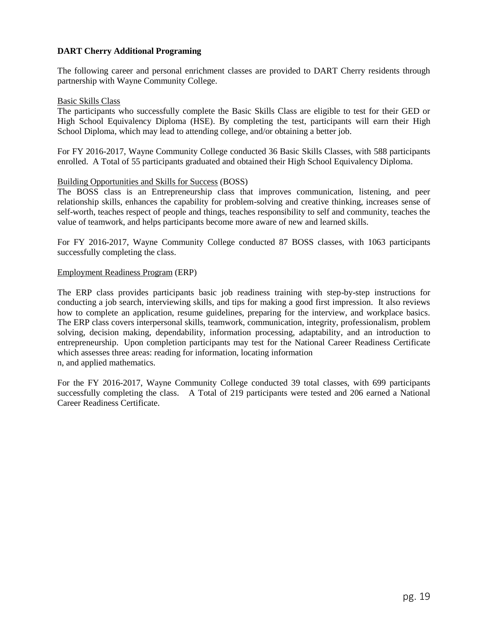## **DART Cherry Additional Programing**

The following career and personal enrichment classes are provided to DART Cherry residents through partnership with Wayne Community College.

#### Basic Skills Class

The participants who successfully complete the Basic Skills Class are eligible to test for their GED or High School Equivalency Diploma (HSE). By completing the test, participants will earn their High School Diploma, which may lead to attending college, and/or obtaining a better job.

For FY 2016-2017, Wayne Community College conducted 36 Basic Skills Classes, with 588 participants enrolled. A Total of 55 participants graduated and obtained their High School Equivalency Diploma.

#### Building Opportunities and Skills for Success (BOSS)

The BOSS class is an Entrepreneurship class that improves communication, listening, and peer relationship skills, enhances the capability for problem-solving and creative thinking, increases sense of self-worth, teaches respect of people and things, teaches responsibility to self and community, teaches the value of teamwork, and helps participants become more aware of new and learned skills.

For FY 2016-2017, Wayne Community College conducted 87 BOSS classes, with 1063 participants successfully completing the class.

#### Employment Readiness Program (ERP)

The ERP class provides participants basic job readiness training with step-by-step instructions for conducting a job search, interviewing skills, and tips for making a good first impression. It also reviews how to complete an application, resume guidelines, preparing for the interview, and workplace basics. The ERP class covers interpersonal skills, teamwork, communication, integrity, professionalism, problem solving, decision making, dependability, information processing, adaptability, and an introduction to entrepreneurship. Upon completion participants may test for the National Career Readiness Certificate which assesses three areas: reading for information, locating information n, and applied mathematics.

For the FY 2016-2017, Wayne Community College conducted 39 total classes, with 699 participants successfully completing the class. A Total of 219 participants were tested and 206 earned a National Career Readiness Certificate.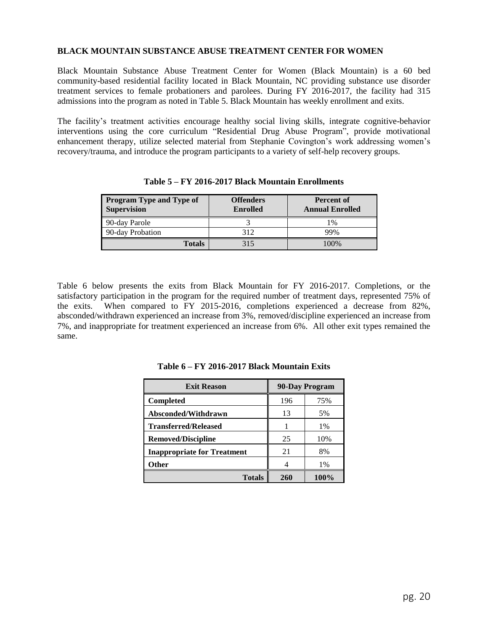#### **BLACK MOUNTAIN SUBSTANCE ABUSE TREATMENT CENTER FOR WOMEN**

Black Mountain Substance Abuse Treatment Center for Women (Black Mountain) is a 60 bed community-based residential facility located in Black Mountain, NC providing substance use disorder treatment services to female probationers and parolees. During FY 2016-2017, the facility had 315 admissions into the program as noted in Table 5. Black Mountain has weekly enrollment and exits.

The facility's treatment activities encourage healthy social living skills, integrate cognitive-behavior interventions using the core curriculum "Residential Drug Abuse Program", provide motivational enhancement therapy, utilize selected material from Stephanie Covington's work addressing women's recovery/trauma, and introduce the program participants to a variety of self-help recovery groups.

| <b>Program Type and Type of</b><br><b>Supervision</b> | <b>Offenders</b><br><b>Enrolled</b> | <b>Percent of</b><br><b>Annual Enrolled</b> |
|-------------------------------------------------------|-------------------------------------|---------------------------------------------|
| 90-day Parole                                         |                                     | 1%                                          |
| 90-day Probation                                      | 312                                 | 99%                                         |
| <b>Totals</b>                                         | 315                                 | 100%                                        |

**Table 5 – FY 2016-2017 Black Mountain Enrollments**

Table 6 below presents the exits from Black Mountain for FY 2016-2017. Completions, or the satisfactory participation in the program for the required number of treatment days, represented 75% of the exits. When compared to FY 2015-2016, completions experienced a decrease from 82%, absconded/withdrawn experienced an increase from 3%, removed/discipline experienced an increase from 7%, and inappropriate for treatment experienced an increase from 6%. All other exit types remained the same.

| 90-Day Program<br><b>Exit Reason</b> |     |      |
|--------------------------------------|-----|------|
| Completed                            | 196 | 75%  |
| Absconded/Withdrawn                  | 13  | 5%   |
| <b>Transferred/Released</b>          |     | 1%   |
| <b>Removed/Discipline</b>            | 25  | 10%  |
| <b>Inappropriate for Treatment</b>   | 21  | 8%   |
| Other                                |     | 1%   |
| <b>Totals</b>                        | 260 | 100% |

**Table 6 – FY 2016-2017 Black Mountain Exits**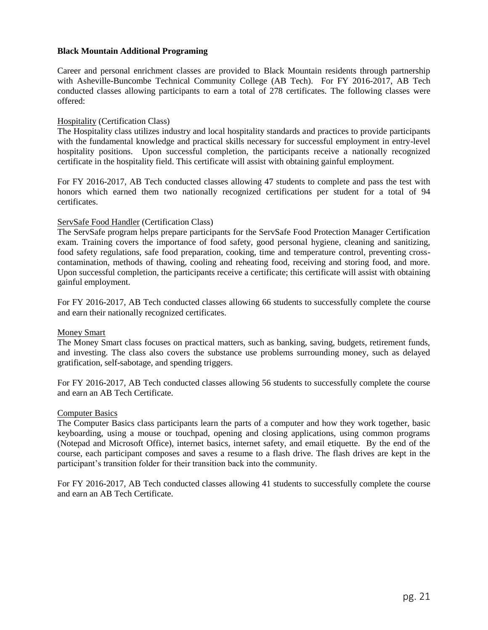#### **Black Mountain Additional Programing**

Career and personal enrichment classes are provided to Black Mountain residents through partnership with Asheville-Buncombe Technical Community College (AB Tech). For FY 2016-2017, AB Tech conducted classes allowing participants to earn a total of 278 certificates. The following classes were offered:

#### Hospitality (Certification Class)

The Hospitality class utilizes industry and local hospitality standards and practices to provide participants with the fundamental knowledge and practical skills necessary for successful employment in entry-level hospitality positions. Upon successful completion, the participants receive a nationally recognized certificate in the hospitality field. This certificate will assist with obtaining gainful employment.

For FY 2016-2017, AB Tech conducted classes allowing 47 students to complete and pass the test with honors which earned them two nationally recognized certifications per student for a total of 94 certificates.

#### ServSafe Food Handler (Certification Class)

The ServSafe program helps prepare participants for the ServSafe Food Protection Manager Certification exam. Training covers the importance of food safety, good personal hygiene, cleaning and sanitizing, food safety regulations, safe food preparation, cooking, time and temperature control, preventing crosscontamination, methods of thawing, cooling and reheating food, receiving and storing food, and more. Upon successful completion, the participants receive a certificate; this certificate will assist with obtaining gainful employment.

For FY 2016-2017, AB Tech conducted classes allowing 66 students to successfully complete the course and earn their nationally recognized certificates.

#### Money Smart

The Money Smart class focuses on practical matters, such as banking, saving, budgets, retirement funds, and investing. The class also covers the substance use problems surrounding money, such as delayed gratification, self-sabotage, and spending triggers.

For FY 2016-2017, AB Tech conducted classes allowing 56 students to successfully complete the course and earn an AB Tech Certificate.

#### Computer Basics

The Computer Basics class participants learn the parts of a computer and how they work together, basic keyboarding, using a mouse or touchpad, opening and closing applications, using common programs (Notepad and Microsoft Office), internet basics, internet safety, and email etiquette. By the end of the course, each participant composes and saves a resume to a flash drive. The flash drives are kept in the participant's transition folder for their transition back into the community.

For FY 2016-2017, AB Tech conducted classes allowing 41 students to successfully complete the course and earn an AB Tech Certificate.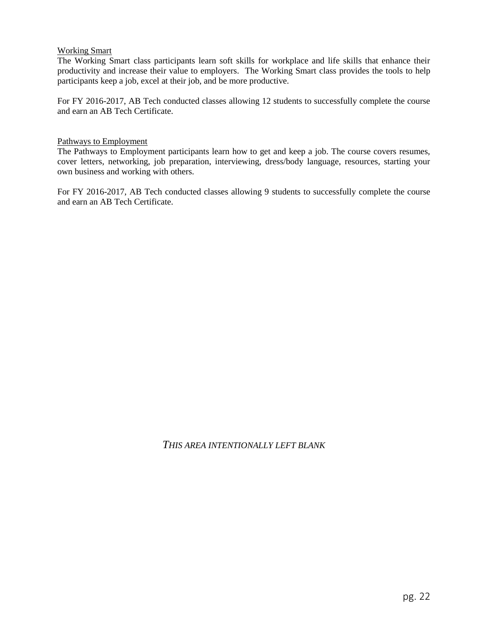## Working Smart

The Working Smart class participants learn soft skills for workplace and life skills that enhance their productivity and increase their value to employers. The Working Smart class provides the tools to help participants keep a job, excel at their job, and be more productive.

For FY 2016-2017, AB Tech conducted classes allowing 12 students to successfully complete the course and earn an AB Tech Certificate.

#### Pathways to Employment

The Pathways to Employment participants learn how to get and keep a job. The course covers resumes, cover letters, networking, job preparation, interviewing, dress/body language, resources, starting your own business and working with others.

For FY 2016-2017, AB Tech conducted classes allowing 9 students to successfully complete the course and earn an AB Tech Certificate.

## *THIS AREA INTENTIONALLY LEFT BLANK*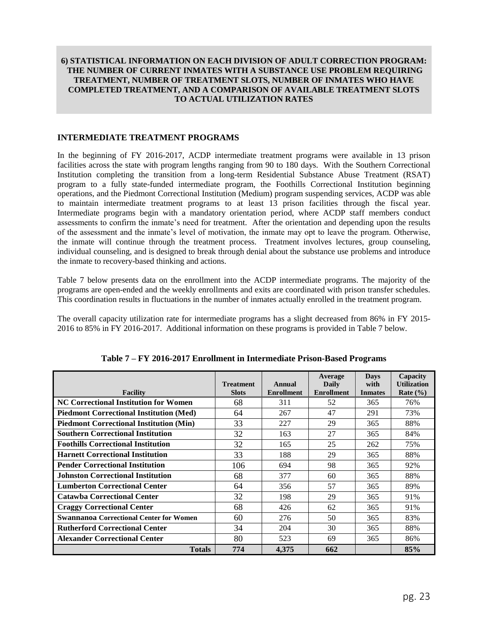#### <span id="page-23-0"></span>**6) STATISTICAL INFORMATION ON EACH DIVISION OF ADULT CORRECTION PROGRAM: THE NUMBER OF CURRENT INMATES WITH A SUBSTANCE USE PROBLEM REQUIRING TREATMENT, NUMBER OF TREATMENT SLOTS, NUMBER OF INMATES WHO HAVE COMPLETED TREATMENT, AND A COMPARISON OF AVAILABLE TREATMENT SLOTS TO ACTUAL UTILIZATION RATES**

#### **INTERMEDIATE TREATMENT PROGRAMS**

In the beginning of FY 2016-2017, ACDP intermediate treatment programs were available in 13 prison facilities across the state with program lengths ranging from 90 to 180 days. With the Southern Correctional Institution completing the transition from a long-term Residential Substance Abuse Treatment (RSAT) program to a fully state-funded intermediate program, the Foothills Correctional Institution beginning operations, and the Piedmont Correctional Institution (Medium) program suspending services, ACDP was able to maintain intermediate treatment programs to at least 13 prison facilities through the fiscal year. Intermediate programs begin with a mandatory orientation period, where ACDP staff members conduct assessments to confirm the inmate's need for treatment. After the orientation and depending upon the results of the assessment and the inmate's level of motivation, the inmate may opt to leave the program. Otherwise, the inmate will continue through the treatment process. Treatment involves lectures, group counseling, individual counseling, and is designed to break through denial about the substance use problems and introduce the inmate to recovery-based thinking and actions.

Table 7 below presents data on the enrollment into the ACDP intermediate programs. The majority of the programs are open-ended and the weekly enrollments and exits are coordinated with prison transfer schedules. This coordination results in fluctuations in the number of inmates actually enrolled in the treatment program.

The overall capacity utilization rate for intermediate programs has a slight decreased from 86% in FY 2015- 2016 to 85% in FY 2016-2017. Additional information on these programs is provided in Table 7 below.

| <b>Facility</b>                                | <b>Treatment</b><br><b>Slots</b> | Annual<br><b>Enrollment</b> | Average<br>Daily<br><b>Enrollment</b> | <b>Days</b><br>with<br><b>Inmates</b> | Capacity<br><b>Utilization</b><br>Rate $(\% )$ |
|------------------------------------------------|----------------------------------|-----------------------------|---------------------------------------|---------------------------------------|------------------------------------------------|
| <b>NC Correctional Institution for Women</b>   | 68                               | 311                         | 52                                    | 365                                   | 76%                                            |
| <b>Piedmont Correctional Institution (Med)</b> | 64                               | 267                         | 47                                    | 291                                   | 73%                                            |
| <b>Piedmont Correctional Institution (Min)</b> | 33                               | 227                         | 29                                    | 365                                   | 88%                                            |
| <b>Southern Correctional Institution</b>       | 32                               | 163                         | 27                                    | 365                                   | 84%                                            |
| <b>Foothills Correctional Institution</b>      | 32                               | 165                         | 25                                    | 262                                   | 75%                                            |
| <b>Harnett Correctional Institution</b>        | 33                               | 188                         | 29                                    | 365                                   | 88%                                            |
| <b>Pender Correctional Institution</b>         | 106                              | 694                         | 98                                    | 365                                   | 92%                                            |
| <b>Johnston Correctional Institution</b>       | 68                               | 377                         | 60                                    | 365                                   | 88%                                            |
| <b>Lumberton Correctional Center</b>           | 64                               | 356                         | 57                                    | 365                                   | 89%                                            |
| <b>Catawba Correctional Center</b>             | 32                               | 198                         | 29                                    | 365                                   | 91%                                            |
| <b>Craggy Correctional Center</b>              | 68                               | 426                         | 62                                    | 365                                   | 91%                                            |
| <b>Swannanoa Correctional Center for Women</b> | 60                               | 276                         | 50                                    | 365                                   | 83%                                            |
| <b>Rutherford Correctional Center</b>          | 34                               | 204                         | 30                                    | 365                                   | 88%                                            |
| <b>Alexander Correctional Center</b>           | 80                               | 523                         | 69                                    | 365                                   | 86%                                            |
| <b>Totals</b>                                  | 774                              | 4,375                       | 662                                   |                                       | 85%                                            |

**Table 7 – FY 2016-2017 Enrollment in Intermediate Prison-Based Programs**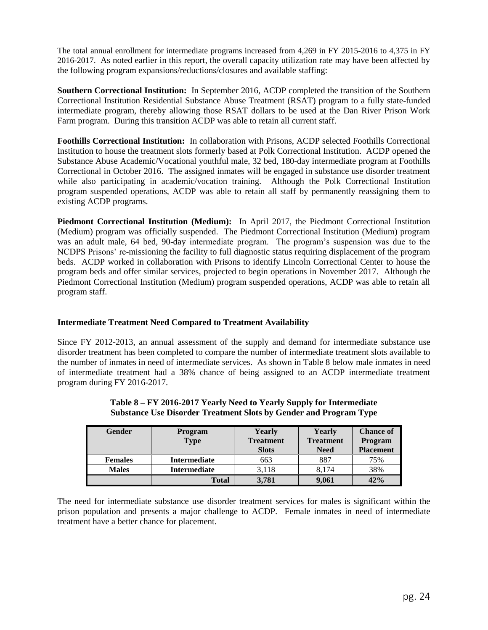The total annual enrollment for intermediate programs increased from 4,269 in FY 2015-2016 to 4,375 in FY 2016-2017. As noted earlier in this report, the overall capacity utilization rate may have been affected by the following program expansions/reductions/closures and available staffing:

**Southern Correctional Institution:** In September 2016, ACDP completed the transition of the Southern Correctional Institution Residential Substance Abuse Treatment (RSAT) program to a fully state-funded intermediate program, thereby allowing those RSAT dollars to be used at the Dan River Prison Work Farm program. During this transition ACDP was able to retain all current staff.

**Foothills Correctional Institution:** In collaboration with Prisons, ACDP selected Foothills Correctional Institution to house the treatment slots formerly based at Polk Correctional Institution. ACDP opened the Substance Abuse Academic/Vocational youthful male, 32 bed, 180-day intermediate program at Foothills Correctional in October 2016. The assigned inmates will be engaged in substance use disorder treatment while also participating in academic/vocation training. Although the Polk Correctional Institution program suspended operations, ACDP was able to retain all staff by permanently reassigning them to existing ACDP programs.

**Piedmont Correctional Institution (Medium):** In April 2017, the Piedmont Correctional Institution (Medium) program was officially suspended. The Piedmont Correctional Institution (Medium) program was an adult male, 64 bed, 90-day intermediate program. The program's suspension was due to the NCDPS Prisons' re-missioning the facility to full diagnostic status requiring displacement of the program beds. ACDP worked in collaboration with Prisons to identify Lincoln Correctional Center to house the program beds and offer similar services, projected to begin operations in November 2017. Although the Piedmont Correctional Institution (Medium) program suspended operations, ACDP was able to retain all program staff.

## **Intermediate Treatment Need Compared to Treatment Availability**

Since FY 2012-2013, an annual assessment of the supply and demand for intermediate substance use disorder treatment has been completed to compare the number of intermediate treatment slots available to the number of inmates in need of intermediate services. As shown in Table 8 below male inmates in need of intermediate treatment had a 38% chance of being assigned to an ACDP intermediate treatment program during FY 2016-2017.

| Gender         | Program<br><b>Type</b> | Yearly<br><b>Treatment</b><br><b>Slots</b> | Yearly<br><b>Treatment</b><br><b>Need</b> | <b>Chance of</b><br>Program<br><b>Placement</b> |
|----------------|------------------------|--------------------------------------------|-------------------------------------------|-------------------------------------------------|
| <b>Females</b> | <b>Intermediate</b>    | 663                                        | 887                                       | 75%                                             |
| <b>Males</b>   | <b>Intermediate</b>    | 3.118                                      | 8.174                                     | 38%                                             |
|                | <b>Total</b>           | 3.781                                      | 9,061                                     | 42%                                             |

#### **Table 8 – FY 2016-2017 Yearly Need to Yearly Supply for Intermediate Substance Use Disorder Treatment Slots by Gender and Program Type**

The need for intermediate substance use disorder treatment services for males is significant within the prison population and presents a major challenge to ACDP. Female inmates in need of intermediate treatment have a better chance for placement.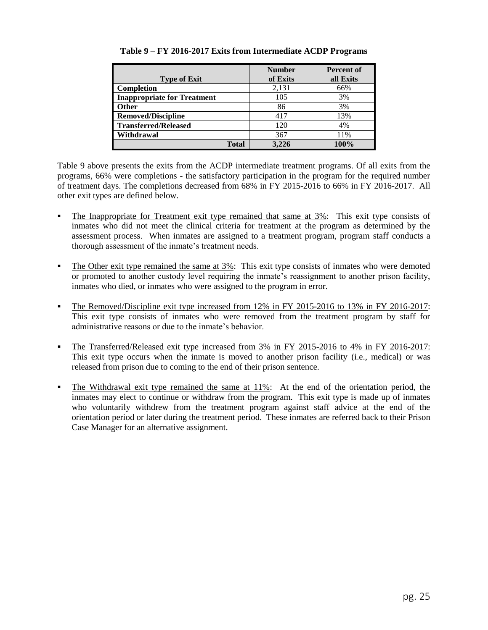|                                    | <b>Number</b> | <b>Percent of</b> |
|------------------------------------|---------------|-------------------|
| <b>Type of Exit</b>                | of Exits      | all Exits         |
| <b>Completion</b>                  | 2,131         | 66%               |
| <b>Inappropriate for Treatment</b> | 105           | 3%                |
| <b>Other</b>                       | 86            | 3%                |
| <b>Removed/Discipline</b>          | 417           | 13%               |
| <b>Transferred/Released</b>        | 120           | 4%                |
| Withdrawal                         | 367           | 11%               |
| Total                              | 3.226         | 100%              |

## **Table 9 – FY 2016-2017 Exits from Intermediate ACDP Programs**

Table 9 above presents the exits from the ACDP intermediate treatment programs. Of all exits from the programs, 66% were completions - the satisfactory participation in the program for the required number of treatment days. The completions decreased from 68% in FY 2015-2016 to 66% in FY 2016-2017. All other exit types are defined below.

- The Inappropriate for Treatment exit type remained that same at 3%: This exit type consists of inmates who did not meet the clinical criteria for treatment at the program as determined by the assessment process. When inmates are assigned to a treatment program, program staff conducts a thorough assessment of the inmate's treatment needs.
- The Other exit type remained the same at 3%: This exit type consists of inmates who were demoted or promoted to another custody level requiring the inmate's reassignment to another prison facility, inmates who died, or inmates who were assigned to the program in error.
- The Removed/Discipline exit type increased from 12% in FY 2015-2016 to 13% in FY 2016-2017: This exit type consists of inmates who were removed from the treatment program by staff for administrative reasons or due to the inmate's behavior.
- The Transferred/Released exit type increased from 3% in FY 2015-2016 to 4% in FY 2016-2017: This exit type occurs when the inmate is moved to another prison facility (i.e., medical) or was released from prison due to coming to the end of their prison sentence.
- The Withdrawal exit type remained the same at 11%: At the end of the orientation period, the inmates may elect to continue or withdraw from the program. This exit type is made up of inmates who voluntarily withdrew from the treatment program against staff advice at the end of the orientation period or later during the treatment period. These inmates are referred back to their Prison Case Manager for an alternative assignment.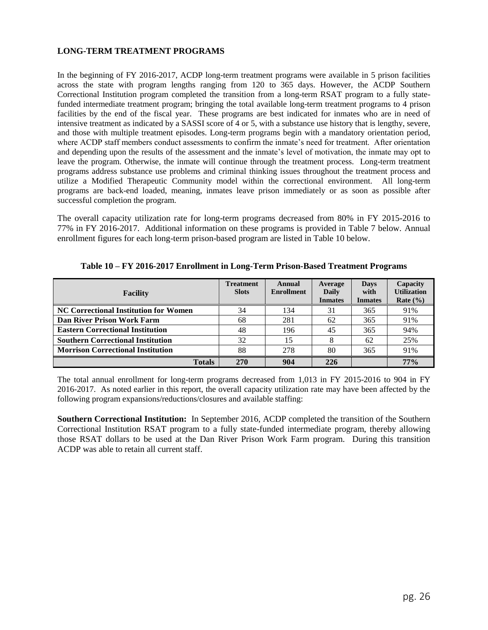## **LONG-TERM TREATMENT PROGRAMS**

In the beginning of FY 2016-2017, ACDP long-term treatment programs were available in 5 prison facilities across the state with program lengths ranging from 120 to 365 days. However, the ACDP Southern Correctional Institution program completed the transition from a long-term RSAT program to a fully statefunded intermediate treatment program; bringing the total available long-term treatment programs to 4 prison facilities by the end of the fiscal year. These programs are best indicated for inmates who are in need of intensive treatment as indicated by a SASSI score of 4 or 5, with a substance use history that is lengthy, severe, and those with multiple treatment episodes. Long-term programs begin with a mandatory orientation period, where ACDP staff members conduct assessments to confirm the inmate's need for treatment. After orientation and depending upon the results of the assessment and the inmate's level of motivation, the inmate may opt to leave the program. Otherwise, the inmate will continue through the treatment process. Long-term treatment programs address substance use problems and criminal thinking issues throughout the treatment process and utilize a Modified Therapeutic Community model within the correctional environment. All long-term programs are back-end loaded, meaning, inmates leave prison immediately or as soon as possible after successful completion the program.

The overall capacity utilization rate for long-term programs decreased from 80% in FY 2015-2016 to 77% in FY 2016-2017. Additional information on these programs is provided in Table 7 below. Annual enrollment figures for each long-term prison-based program are listed in Table 10 below.

| <b>Facility</b>                              | <b>Treatment</b><br><b>Slots</b> | Annual<br><b>Enrollment</b> | Average<br><b>Daily</b><br><b>Inmates</b> | <b>Days</b><br>with<br><b>Inmates</b> | Capacity<br><b>Utilization</b><br>Rate $(\% )$ |
|----------------------------------------------|----------------------------------|-----------------------------|-------------------------------------------|---------------------------------------|------------------------------------------------|
| <b>NC Correctional Institution for Women</b> | 34                               | 134                         | 31                                        | 365                                   | 91%                                            |
| Dan River Prison Work Farm                   | 68                               | 281                         | 62                                        | 365                                   | 91%                                            |
| <b>Eastern Correctional Institution</b>      | 48                               | 196                         | 45                                        | 365                                   | 94%                                            |
| <b>Southern Correctional Institution</b>     | 32                               | 15                          |                                           | 62                                    | 25%                                            |
| <b>Morrison Correctional Institution</b>     | 88                               | 278                         | 80                                        | 365                                   | 91%                                            |
| <b>Totals</b>                                | 270                              | 904                         | 226                                       |                                       | 77%                                            |

**Table 10 – FY 2016-2017 Enrollment in Long-Term Prison-Based Treatment Programs**

The total annual enrollment for long-term programs decreased from 1,013 in FY 2015-2016 to 904 in FY 2016-2017. As noted earlier in this report, the overall capacity utilization rate may have been affected by the following program expansions/reductions/closures and available staffing:

**Southern Correctional Institution:** In September 2016, ACDP completed the transition of the Southern Correctional Institution RSAT program to a fully state-funded intermediate program, thereby allowing those RSAT dollars to be used at the Dan River Prison Work Farm program. During this transition ACDP was able to retain all current staff.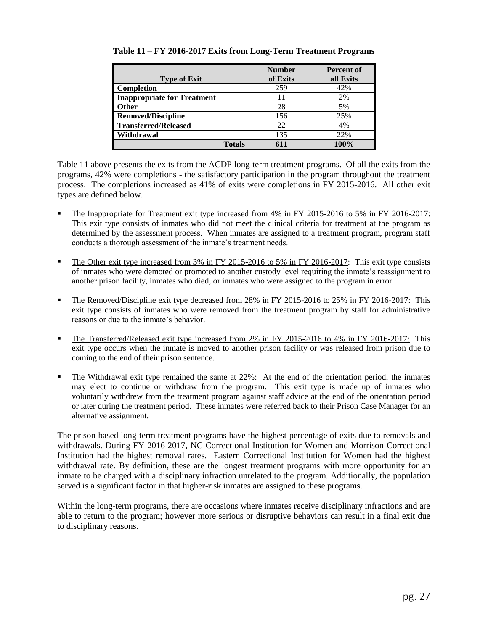|                                    | <b>Number</b> | <b>Percent of</b> |
|------------------------------------|---------------|-------------------|
| <b>Type of Exit</b>                | of Exits      | all Exits         |
| <b>Completion</b>                  | 259           | 42%               |
| <b>Inappropriate for Treatment</b> | 11            | 2%                |
| <b>Other</b>                       | 28            | 5%                |
| <b>Removed/Discipline</b>          | 156           | 25%               |
| <b>Transferred/Released</b>        | 22            | 4%                |
| Withdrawal                         | 135           | 22%               |
| <b>Totals</b>                      |               | 100%              |

## **Table 11 – FY 2016-2017 Exits from Long-Term Treatment Programs**

Table 11 above presents the exits from the ACDP long-term treatment programs. Of all the exits from the programs, 42% were completions - the satisfactory participation in the program throughout the treatment process. The completions increased as 41% of exits were completions in FY 2015-2016. All other exit types are defined below.

- The Inappropriate for Treatment exit type increased from 4% in FY 2015-2016 to 5% in FY 2016-2017: This exit type consists of inmates who did not meet the clinical criteria for treatment at the program as determined by the assessment process. When inmates are assigned to a treatment program, program staff conducts a thorough assessment of the inmate's treatment needs.
- The Other exit type increased from 3% in FY 2015-2016 to 5% in FY 2016-2017: This exit type consists of inmates who were demoted or promoted to another custody level requiring the inmate's reassignment to another prison facility, inmates who died, or inmates who were assigned to the program in error.
- The Removed/Discipline exit type decreased from 28% in FY 2015-2016 to 25% in FY 2016-2017: This exit type consists of inmates who were removed from the treatment program by staff for administrative reasons or due to the inmate's behavior.
- The Transferred/Released exit type increased from 2% in FY 2015-2016 to 4% in FY 2016-2017: This exit type occurs when the inmate is moved to another prison facility or was released from prison due to coming to the end of their prison sentence.
- The Withdrawal exit type remained the same at 22%: At the end of the orientation period, the inmates may elect to continue or withdraw from the program. This exit type is made up of inmates who voluntarily withdrew from the treatment program against staff advice at the end of the orientation period or later during the treatment period. These inmates were referred back to their Prison Case Manager for an alternative assignment.

The prison-based long-term treatment programs have the highest percentage of exits due to removals and withdrawals. During FY 2016-2017, NC Correctional Institution for Women and Morrison Correctional Institution had the highest removal rates. Eastern Correctional Institution for Women had the highest withdrawal rate. By definition, these are the longest treatment programs with more opportunity for an inmate to be charged with a disciplinary infraction unrelated to the program. Additionally, the population served is a significant factor in that higher-risk inmates are assigned to these programs.

Within the long-term programs, there are occasions where inmates receive disciplinary infractions and are able to return to the program; however more serious or disruptive behaviors can result in a final exit due to disciplinary reasons.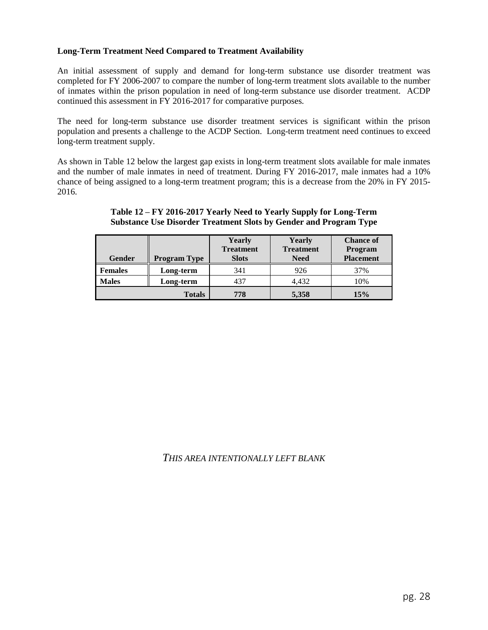## **Long-Term Treatment Need Compared to Treatment Availability**

An initial assessment of supply and demand for long-term substance use disorder treatment was completed for FY 2006-2007 to compare the number of long-term treatment slots available to the number of inmates within the prison population in need of long-term substance use disorder treatment. ACDP continued this assessment in FY 2016-2017 for comparative purposes.

The need for long-term substance use disorder treatment services is significant within the prison population and presents a challenge to the ACDP Section. Long-term treatment need continues to exceed long-term treatment supply.

As shown in Table 12 below the largest gap exists in long-term treatment slots available for male inmates and the number of male inmates in need of treatment. During FY 2016-2017, male inmates had a 10% chance of being assigned to a long-term treatment program; this is a decrease from the 20% in FY 2015- 2016.

| Gender         | <b>Program Type</b> | Yearly<br><b>Treatment</b><br><b>Slots</b> | Yearly<br><b>Treatment</b><br><b>Need</b> | <b>Chance of</b><br>Program<br><b>Placement</b> |
|----------------|---------------------|--------------------------------------------|-------------------------------------------|-------------------------------------------------|
| <b>Females</b> | Long-term           | 341                                        | 926                                       | 37%                                             |
| <b>Males</b>   | Long-term           | 437                                        | 4,432                                     | 10%                                             |
|                | <b>Totals</b>       | 778                                        | 5,358                                     | 15%                                             |

## **Table 12 – FY 2016-2017 Yearly Need to Yearly Supply for Long-Term Substance Use Disorder Treatment Slots by Gender and Program Type**

## *THIS AREA INTENTIONALLY LEFT BLANK*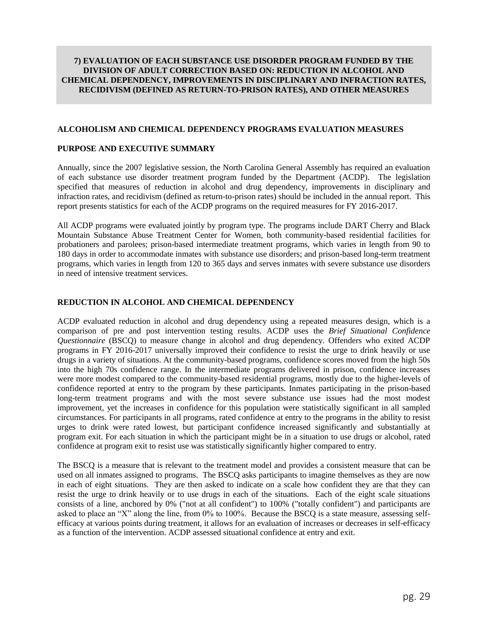#### <span id="page-29-0"></span>**7) EVALUATION OF EACH SUBSTANCE USE DISORDER PROGRAM FUNDED BY THE DIVISION OF ADULT CORRECTION BASED ON: REDUCTION IN ALCOHOL AND CHEMICAL DEPENDENCY, IMPROVEMENTS IN DISCIPLINARY AND INFRACTION RATES, RECIDIVISM (DEFINED AS RETURN-TO-PRISON RATES), AND OTHER MEASURES**

#### **ALCOHOLISM AND CHEMICAL DEPENDENCY PROGRAMS EVALUATION MEASURES**

#### **PURPOSE AND EXECUTIVE SUMMARY**

Annually, since the 2007 legislative session, the North Carolina General Assembly has required an evaluation of each substance use disorder treatment program funded by the Department (ACDP). The legislation specified that measures of reduction in alcohol and drug dependency, improvements in disciplinary and infraction rates, and recidivism (defined as return-to-prison rates) should be included in the annual report. This report presents statistics for each of the ACDP programs on the required measures for FY 2016-2017.

All ACDP programs were evaluated jointly by program type. The programs include DART Cherry and Black Mountain Substance Abuse Treatment Center for Women, both community-based residential facilities for probationers and parolees; prison-based intermediate treatment programs, which varies in length from 90 to 180 days in order to accommodate inmates with substance use disorders; and prison-based long-term treatment programs, which varies in length from 120 to 365 days and serves inmates with severe substance use disorders in need of intensive treatment services.

#### **REDUCTION IN ALCOHOL AND CHEMICAL DEPENDENCY**

ACDP evaluated reduction in alcohol and drug dependency using a repeated measures design, which is a comparison of pre and post intervention testing results. ACDP uses the *Brief Situational Confidence Questionnaire* (BSCQ) to measure change in alcohol and drug dependency. Offenders who exited ACDP programs in FY 2016-2017 universally improved their confidence to resist the urge to drink heavily or use drugs in a variety of situations. At the community-based programs, confidence scores moved from the high 50s into the high 70s confidence range. In the intermediate programs delivered in prison, confidence increases were more modest compared to the community-based residential programs, mostly due to the higher-levels of confidence reported at entry to the program by these participants. Inmates participating in the prison-based long-term treatment programs and with the most severe substance use issues had the most modest improvement, yet the increases in confidence for this population were statistically significant in all sampled circumstances. For participants in all programs, rated confidence at entry to the programs in the ability to resist urges to drink were rated lowest, but participant confidence increased significantly and substantially at program exit. For each situation in which the participant might be in a situation to use drugs or alcohol, rated confidence at program exit to resist use was statistically significantly higher compared to entry.

The BSCQ is a measure that is relevant to the treatment model and provides a consistent measure that can be used on all inmates assigned to programs. The BSCQ asks participants to imagine themselves as they are now in each of eight situations. They are then asked to indicate on a scale how confident they are that they can resist the urge to drink heavily or to use drugs in each of the situations. Each of the eight scale situations consists of a line, anchored by 0% ("not at all confident") to 100% ("totally confident") and participants are asked to place an "X" along the line, from 0% to 100%. Because the BSCQ is a state measure, assessing selfefficacy at various points during treatment, it allows for an evaluation of increases or decreases in self-efficacy as a function of the intervention. ACDP assessed situational confidence at entry and exit.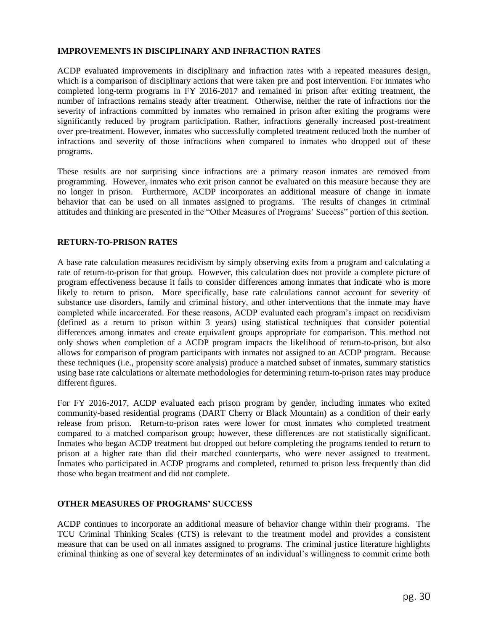## **IMPROVEMENTS IN DISCIPLINARY AND INFRACTION RATES**

ACDP evaluated improvements in disciplinary and infraction rates with a repeated measures design, which is a comparison of disciplinary actions that were taken pre and post intervention. For inmates who completed long-term programs in FY 2016-2017 and remained in prison after exiting treatment, the number of infractions remains steady after treatment. Otherwise, neither the rate of infractions nor the severity of infractions committed by inmates who remained in prison after exiting the programs were significantly reduced by program participation. Rather, infractions generally increased post-treatment over pre-treatment. However, inmates who successfully completed treatment reduced both the number of infractions and severity of those infractions when compared to inmates who dropped out of these programs.

These results are not surprising since infractions are a primary reason inmates are removed from programming. However, inmates who exit prison cannot be evaluated on this measure because they are no longer in prison. Furthermore, ACDP incorporates an additional measure of change in inmate behavior that can be used on all inmates assigned to programs. The results of changes in criminal attitudes and thinking are presented in the "Other Measures of Programs' Success" portion of this section.

## **RETURN-TO-PRISON RATES**

A base rate calculation measures recidivism by simply observing exits from a program and calculating a rate of return-to-prison for that group. However, this calculation does not provide a complete picture of program effectiveness because it fails to consider differences among inmates that indicate who is more likely to return to prison. More specifically, base rate calculations cannot account for severity of substance use disorders, family and criminal history, and other interventions that the inmate may have completed while incarcerated. For these reasons, ACDP evaluated each program's impact on recidivism (defined as a return to prison within 3 years) using statistical techniques that consider potential differences among inmates and create equivalent groups appropriate for comparison. This method not only shows when completion of a ACDP program impacts the likelihood of return-to-prison, but also allows for comparison of program participants with inmates not assigned to an ACDP program. Because these techniques (i.e., propensity score analysis) produce a matched subset of inmates, summary statistics using base rate calculations or alternate methodologies for determining return-to-prison rates may produce different figures.

For FY 2016-2017, ACDP evaluated each prison program by gender, including inmates who exited community-based residential programs (DART Cherry or Black Mountain) as a condition of their early release from prison. Return-to-prison rates were lower for most inmates who completed treatment compared to a matched comparison group; however, these differences are not statistically significant. Inmates who began ACDP treatment but dropped out before completing the programs tended to return to prison at a higher rate than did their matched counterparts, who were never assigned to treatment. Inmates who participated in ACDP programs and completed, returned to prison less frequently than did those who began treatment and did not complete.

## **OTHER MEASURES OF PROGRAMS' SUCCESS**

ACDP continues to incorporate an additional measure of behavior change within their programs. The TCU Criminal Thinking Scales (CTS) is relevant to the treatment model and provides a consistent measure that can be used on all inmates assigned to programs. The criminal justice literature highlights criminal thinking as one of several key determinates of an individual's willingness to commit crime both